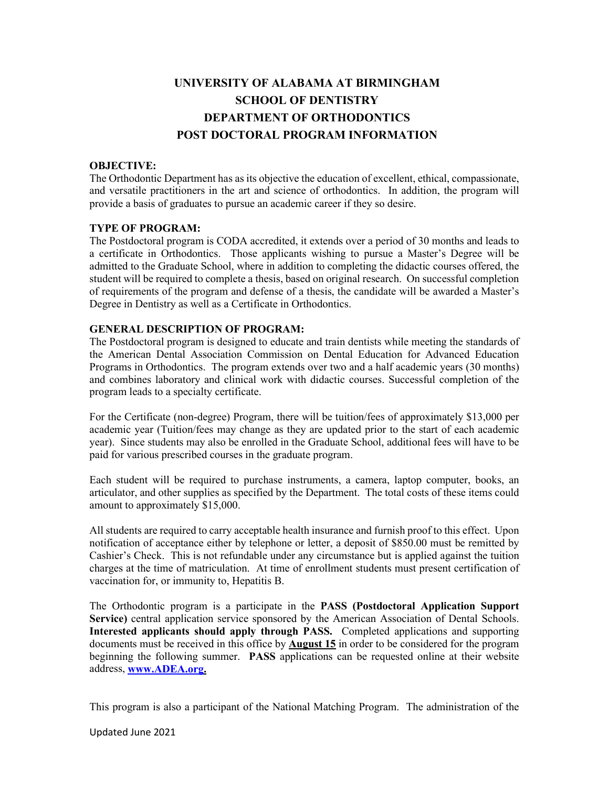# **UNIVERSITY OF ALABAMA AT BIRMINGHAM SCHOOL OF DENTISTRY DEPARTMENT OF ORTHODONTICS POST DOCTORAL PROGRAM INFORMATION**

#### **OBJECTIVE:**

The Orthodontic Department has as its objective the education of excellent, ethical, compassionate, and versatile practitioners in the art and science of orthodontics. In addition, the program will provide a basis of graduates to pursue an academic career if they so desire.

## **TYPE OF PROGRAM:**

The Postdoctoral program is CODA accredited, it extends over a period of 30 months and leads to a certificate in Orthodontics. Those applicants wishing to pursue a Master's Degree will be admitted to the Graduate School, where in addition to completing the didactic courses offered, the student will be required to complete a thesis, based on original research. On successful completion of requirements of the program and defense of a thesis, the candidate will be awarded a Master's Degree in Dentistry as well as a Certificate in Orthodontics.

# **GENERAL DESCRIPTION OF PROGRAM:**

The Postdoctoral program is designed to educate and train dentists while meeting the standards of the American Dental Association Commission on Dental Education for Advanced Education Programs in Orthodontics. The program extends over two and a half academic years (30 months) and combines laboratory and clinical work with didactic courses. Successful completion of the program leads to a specialty certificate.

For the Certificate (non-degree) Program, there will be tuition/fees of approximately \$13,000 per academic year (Tuition/fees may change as they are updated prior to the start of each academic year). Since students may also be enrolled in the Graduate School, additional fees will have to be paid for various prescribed courses in the graduate program.

Each student will be required to purchase instruments, a camera, laptop computer, books, an articulator, and other supplies as specified by the Department. The total costs of these items could amount to approximately \$15,000.

All students are required to carry acceptable health insurance and furnish proof to this effect. Upon notification of acceptance either by telephone or letter, a deposit of \$850.00 must be remitted by Cashier's Check. This is not refundable under any circumstance but is applied against the tuition charges at the time of matriculation. At time of enrollment students must present certification of vaccination for, or immunity to, Hepatitis B.

The Orthodontic program is a participate in the **PASS (Postdoctoral Application Support Service)** central application service sponsored by the American Association of Dental Schools. **Interested applicants should apply through PASS.** Completed applications and supporting documents must be received in this office by **August 15** in order to be considered for the program beginning the following summer. **PASS** applications can be requested online at their website address, **[www.ADEA.org.](http://www.adea.org/)** 

This program is also a participant of the National Matching Program. The administration of the

Updated June 2021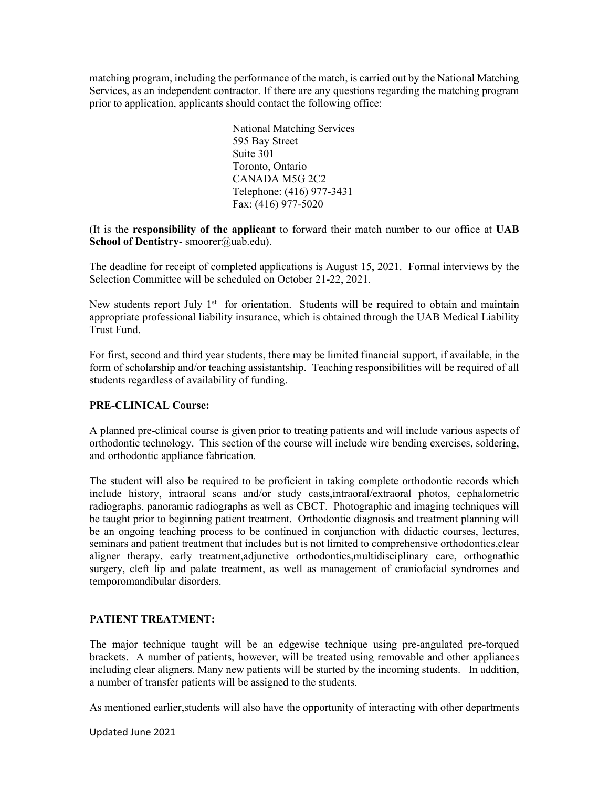matching program, including the performance of the match, is carried out by the National Matching Services, as an independent contractor. If there are any questions regarding the matching program prior to application, applicants should contact the following office:

> National Matching Services 595 Bay Street Suite 301 Toronto, Ontario CANADA M5G 2C2 Telephone: (416) 977-3431 Fax: (416) 977-5020

(It is the **responsibility of the applicant** to forward their match number to our office at **UAB** School of Dentistry- smoorer@uab.edu).

The deadline for receipt of completed applications is August 15, 2021.Formal interviews by the Selection Committee will be scheduled on October 21-22, 2021.

New students report July  $1<sup>st</sup>$  for orientation. Students will be required to obtain and maintain appropriate professional liability insurance, which is obtained through the UAB Medical Liability Trust Fund.

For first, second and third year students, there may be limited financial support, if available, in the form of scholarship and/or teaching assistantship. Teaching responsibilities will be required of all students regardless of availability of funding.

# **PRE-CLINICAL Course:**

A planned pre-clinical course is given prior to treating patients and will include various aspects of orthodontic technology. This section of the course will include wire bending exercises, soldering, and orthodontic appliance fabrication.

The student will also be required to be proficient in taking complete orthodontic records which include history, intraoral scans and/or study casts,intraoral/extraoral photos, cephalometric radiographs, panoramic radiographs as well as CBCT. Photographic and imaging techniques will be taught prior to beginning patient treatment. Orthodontic diagnosis and treatment planning will be an ongoing teaching process to be continued in conjunction with didactic courses, lectures, seminars and patient treatment that includes but is not limited to comprehensive orthodontics,clear aligner therapy, early treatment,adjunctive orthodontics,multidisciplinary care, orthognathic surgery, cleft lip and palate treatment, as well as management of craniofacial syndromes and temporomandibular disorders.

# **PATIENT TREATMENT:**

The major technique taught will be an edgewise technique using pre-angulated pre-torqued brackets. A number of patients, however, will be treated using removable and other appliances including clear aligners. Many new patients will be started by the incoming students. In addition, a number of transfer patients will be assigned to the students.

As mentioned earlier,students will also have the opportunity of interacting with other departments

Updated June 2021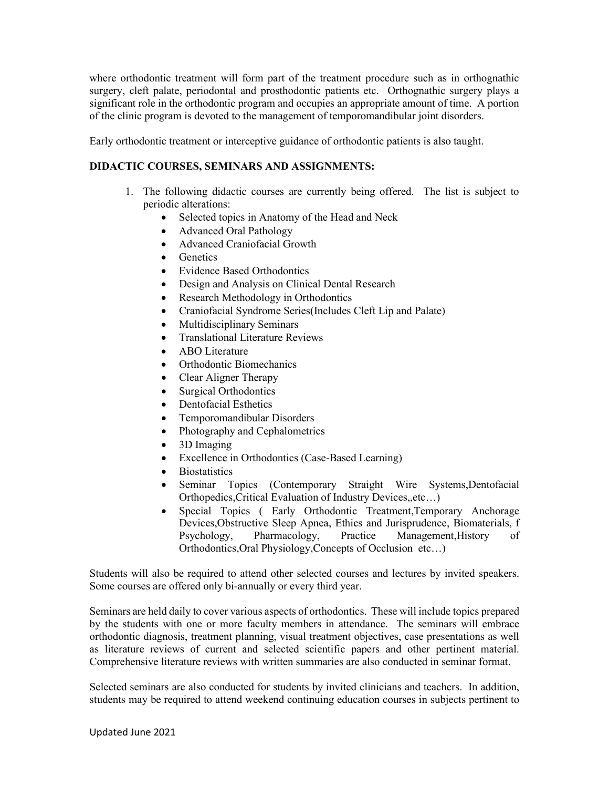where orthodontic treatment will form part of the treatment procedure such as in orthognathic surgery, cleft palate, periodontal and prosthodontic patients etc. Orthognathic surgery plays a significant role in the orthodontic program and occupies an appropriate amount of time. A portion of the clinic program is devoted to the management of temporomandibular joint disorders.

Early orthodontic treatment or interceptive guidance of orthodontic patients is also taught.

# **DIDACTIC COURSES, SEMINARS AND ASSIGNMENTS:**

- 1. The following didactic courses are currently being offered. The list is subject to periodic alterations:
	- Selected topics in Anatomy of the Head and Neck
	- Advanced Oral Pathology
	- Advanced Craniofacial Growth
	- Genetics
	- Evidence Based Orthodontics
	- Design and Analysis on Clinical Dental Research
	- Research Methodology in Orthodontics
	- Craniofacial Syndrome Series(Includes Cleft Lip and Palate)
	- Multidisciplinary Seminars
	- Translational Literature Reviews
	- ABO Literature
	- Orthodontic Biomechanics
	- Clear Aligner Therapy
	- Surgical Orthodontics
	- Dentofacial Esthetics
	- Temporomandibular Disorders
	- Photography and Cephalometrics
	- 3D Imaging
	- Excellence in Orthodontics (Case-Based Learning)
	- **Biostatistics**
	- Seminar Topics (Contemporary Straight Wire Systems,Dentofacial Orthopedics,Critical Evaluation of Industry Devices,,etc…)
	- Special Topics ( Early Orthodontic Treatment,Temporary Anchorage Devices,Obstructive Sleep Apnea, Ethics and Jurisprudence, Biomaterials, f Psychology, Pharmacology, Practice Management,History of Orthodontics,Oral Physiology,Concepts of Occlusion etc…)

Students will also be required to attend other selected courses and lectures by invited speakers. Some courses are offered only bi-annually or every third year.

Seminars are held daily to cover various aspects of orthodontics. These will include topics prepared by the students with one or more faculty members in attendance. The seminars will embrace orthodontic diagnosis, treatment planning, visual treatment objectives, case presentations as well as literature reviews of current and selected scientific papers and other pertinent material. Comprehensive literature reviews with written summaries are also conducted in seminar format.

Selected seminars are also conducted for students by invited clinicians and teachers. In addition, students may be required to attend weekend continuing education courses in subjects pertinent to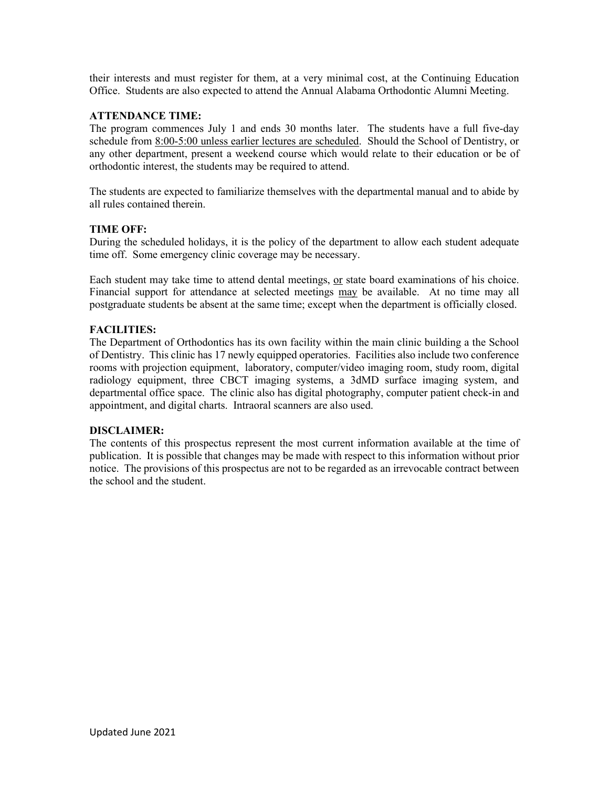their interests and must register for them, at a very minimal cost, at the Continuing Education Office. Students are also expected to attend the Annual Alabama Orthodontic Alumni Meeting.

# **ATTENDANCE TIME:**

The program commences July 1 and ends 30 months later. The students have a full five-day schedule from 8:00-5:00 unless earlier lectures are scheduled. Should the School of Dentistry, or any other department, present a weekend course which would relate to their education or be of orthodontic interest, the students may be required to attend.

The students are expected to familiarize themselves with the departmental manual and to abide by all rules contained therein.

## **TIME OFF:**

During the scheduled holidays, it is the policy of the department to allow each student adequate time off. Some emergency clinic coverage may be necessary.

Each student may take time to attend dental meetings, or state board examinations of his choice. Financial support for attendance at selected meetings may be available. At no time may all postgraduate students be absent at the same time; except when the department is officially closed.

## **FACILITIES:**

The Department of Orthodontics has its own facility within the main clinic building a the School of Dentistry. This clinic has 17 newly equipped operatories. Facilities also include two conference rooms with projection equipment, laboratory, computer/video imaging room, study room, digital radiology equipment, three CBCT imaging systems, a 3dMD surface imaging system, and departmental office space. The clinic also has digital photography, computer patient check-in and appointment, and digital charts. Intraoral scanners are also used.

#### **DISCLAIMER:**

The contents of this prospectus represent the most current information available at the time of publication. It is possible that changes may be made with respect to this information without prior notice. The provisions of this prospectus are not to be regarded as an irrevocable contract between the school and the student.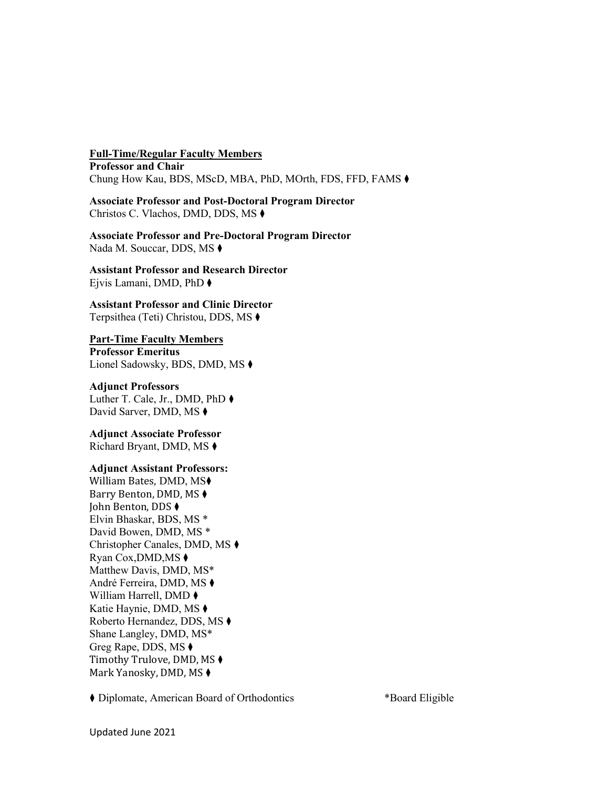**Full-Time/Regular Faculty Members Professor and Chair** Chung How Kau, BDS, MScD, MBA, PhD, MOrth, FDS, FFD, FAMS ⧫

**Associate Professor and Post-Doctoral Program Director** Christos C. Vlachos, DMD, DDS, MS ⧫

**Associate Professor and Pre-Doctoral Program Director**  Nada M. Souccar, DDS, MS  $\blacklozenge$ 

**Assistant Professor and Research Director** Ejvis Lamani, DMD, PhD ⧫

**Assistant Professor and Clinic Director** Terpsithea (Teti) Christou, DDS, MS ⧫

#### **Part-Time Faculty Members**

**Professor Emeritus** Lionel Sadowsky, BDS, DMD, MS ⧫

#### **Adjunct Professors**

Luther T. Cale, Jr., DMD, PhD ⧫ David Sarver, DMD, MS ♦

**Adjunct Associate Professor**  Richard Bryant, DMD, MS ⧫

#### **Adjunct Assistant Professors:**

William Bates, DMD, MS⧫ Barry Benton, DMD, MS ⧫ John Benton, DDS ⧫ Elvin Bhaskar, BDS, MS \* David Bowen, DMD, MS \* Christopher Canales, DMD, MS ⧫ Ryan Cox,DMD,MS ⧫ Matthew Davis, DMD, MS\* André Ferreira, DMD, MS ⧫ William Harrell, DMD ⧫ Katie Haynie, DMD, MS ⧫ Roberto Hernandez, DDS, MS ⧫ Shane Langley, DMD, MS\* Greg Rape, DDS, MS ⧫ Timothy Trulove, DMD, MS ⧫ Mark Yanosky, DMD, MS  $\blacklozenge$ 

⧫ Diplomate, American Board of Orthodontics \*Board Eligible

Updated June 2021